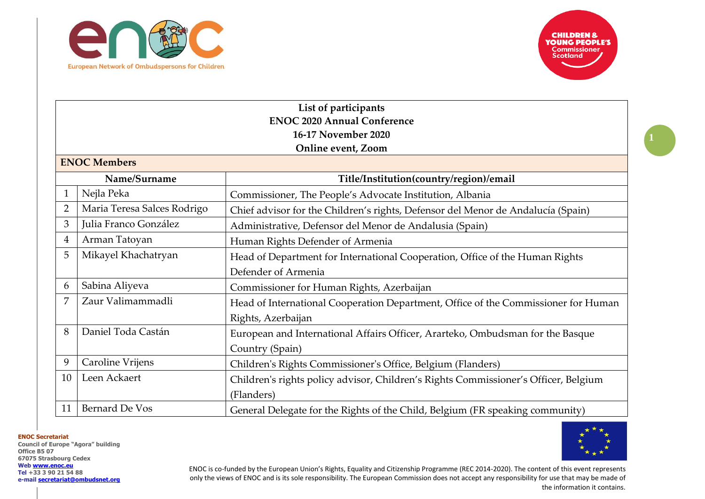



**1**

| List of participants |                                    |                                                                                     |  |  |
|----------------------|------------------------------------|-------------------------------------------------------------------------------------|--|--|
|                      | <b>ENOC 2020 Annual Conference</b> |                                                                                     |  |  |
|                      | 16-17 November 2020                |                                                                                     |  |  |
|                      |                                    | Online event, Zoom                                                                  |  |  |
|                      | <b>ENOC Members</b>                |                                                                                     |  |  |
|                      | Name/Surname                       | Title/Institution(country/region)/email                                             |  |  |
| 1                    | Nejla Peka                         | Commissioner, The People's Advocate Institution, Albania                            |  |  |
| $\overline{2}$       | Maria Teresa Salces Rodrigo        | Chief advisor for the Children's rights, Defensor del Menor de Andalucía (Spain)    |  |  |
| 3                    | Julia Franco González              | Administrative, Defensor del Menor de Andalusia (Spain)                             |  |  |
| 4                    | Arman Tatoyan                      | Human Rights Defender of Armenia                                                    |  |  |
| 5                    | Mikayel Khachatryan                | Head of Department for International Cooperation, Office of the Human Rights        |  |  |
|                      |                                    | Defender of Armenia                                                                 |  |  |
| 6                    | Sabina Aliyeva                     | Commissioner for Human Rights, Azerbaijan                                           |  |  |
| 7                    | Zaur Valimammadli                  | Head of International Cooperation Department, Office of the Commissioner for Human  |  |  |
|                      |                                    | Rights, Azerbaijan                                                                  |  |  |
| 8                    | Daniel Toda Castán                 | European and International Affairs Officer, Ararteko, Ombudsman for the Basque      |  |  |
|                      |                                    | Country (Spain)                                                                     |  |  |
| 9                    | Caroline Vrijens                   | Children's Rights Commissioner's Office, Belgium (Flanders)                         |  |  |
| 10                   | Leen Ackaert                       | Children's rights policy advisor, Children's Rights Commissioner's Officer, Belgium |  |  |
|                      |                                    | (Flanders)                                                                          |  |  |
| 11                   | <b>Bernard De Vos</b>              | General Delegate for the Rights of the Child, Belgium (FR speaking community)       |  |  |

**ENOC Secretariat**

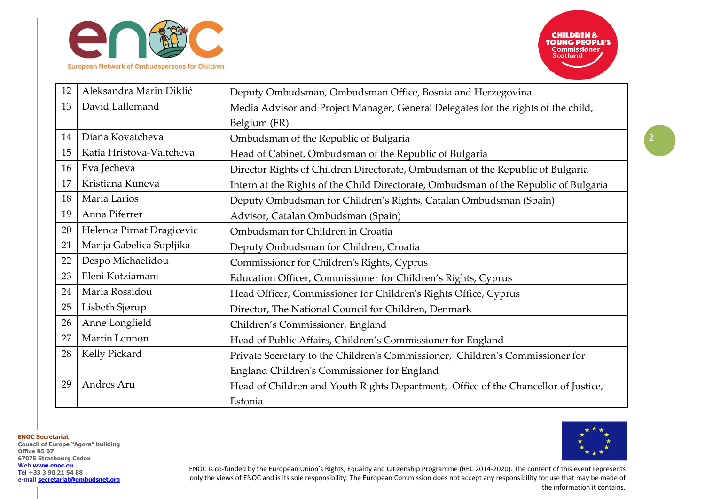

| 12 | Aleksandra Marin Diklić   | Deputy Ombudsman, Ombudsman Office, Bosnia and Herzegovina                           |
|----|---------------------------|--------------------------------------------------------------------------------------|
| 13 | David Lallemand           | Media Advisor and Project Manager, General Delegates for the rights of the child,    |
|    |                           | Belgium (FR)                                                                         |
| 14 | Diana Kovatcheva          | Ombudsman of the Republic of Bulgaria                                                |
| 15 | Katia Hristova-Valtcheva  | Head of Cabinet, Ombudsman of the Republic of Bulgaria                               |
| 16 | Eva Jecheva               | Director Rights of Children Directorate, Ombudsman of the Republic of Bulgaria       |
| 17 | Kristiana Kuneva          | Intern at the Rights of the Child Directorate, Ombudsman of the Republic of Bulgaria |
| 18 | Maria Larios              | Deputy Ombudsman for Children's Rights, Catalan Ombudsman (Spain)                    |
| 19 | Anna Piferrer             | Advisor, Catalan Ombudsman (Spain)                                                   |
| 20 | Helenca Pirnat Dragicevic | Ombudsman for Children in Croatia                                                    |
| 21 | Marija Gabelica Supljika  | Deputy Ombudsman for Children, Croatia                                               |
| 22 | Despo Michaelidou         | Commissioner for Children's Rights, Cyprus                                           |
| 23 | Eleni Kotziamani          | Education Officer, Commissioner for Children's Rights, Cyprus                        |
| 24 | Maria Rossidou            | Head Officer, Commissioner for Children's Rights Office, Cyprus                      |
| 25 | Lisbeth Sjørup            | Director, The National Council for Children, Denmark                                 |
| 26 | Anne Longfield            | Children's Commissioner, England                                                     |
| 27 | Martin Lennon             | Head of Public Affairs, Children's Commissioner for England                          |
| 28 | Kelly Pickard             | Private Secretary to the Children's Commissioner, Children's Commissioner for        |
|    |                           | England Children's Commissioner for England                                          |
| 29 | Andres Aru                | Head of Children and Youth Rights Department, Office of the Chancellor of Justice,   |
|    |                           | Estonia                                                                              |

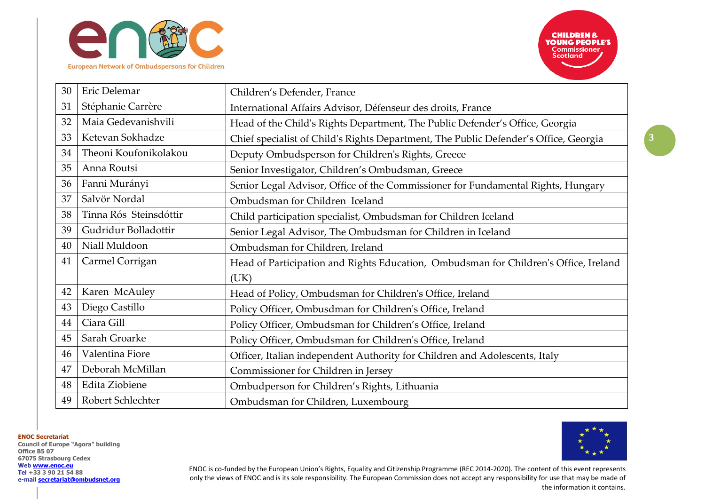

| 30 | Eric Delemar           | Children's Defender, France                                                          |
|----|------------------------|--------------------------------------------------------------------------------------|
| 31 | Stéphanie Carrère      | International Affairs Advisor, Défenseur des droits, France                          |
| 32 | Maia Gedevanishvili    | Head of the Child's Rights Department, The Public Defender's Office, Georgia         |
| 33 | Ketevan Sokhadze       | Chief specialist of Child's Rights Department, The Public Defender's Office, Georgia |
| 34 | Theoni Koufonikolakou  | Deputy Ombudsperson for Children's Rights, Greece                                    |
| 35 | Anna Routsi            | Senior Investigator, Children's Ombudsman, Greece                                    |
| 36 | Fanni Murányi          | Senior Legal Advisor, Office of the Commissioner for Fundamental Rights, Hungary     |
| 37 | Salvör Nordal          | Ombudsman for Children Iceland                                                       |
| 38 | Tinna Rós Steinsdóttir | Child participation specialist, Ombudsman for Children Iceland                       |
| 39 | Gudridur Bolladottir   | Senior Legal Advisor, The Ombudsman for Children in Iceland                          |
| 40 | Niall Muldoon          | Ombudsman for Children, Ireland                                                      |
| 41 | Carmel Corrigan        | Head of Participation and Rights Education, Ombudsman for Children's Office, Ireland |
|    |                        | (UK)                                                                                 |
| 42 | Karen McAuley          | Head of Policy, Ombudsman for Children's Office, Ireland                             |
| 43 | Diego Castillo         | Policy Officer, Ombusdman for Children's Office, Ireland                             |
| 44 | Ciara Gill             | Policy Officer, Ombudsman for Children's Office, Ireland                             |
| 45 | Sarah Groarke          | Policy Officer, Ombudsman for Children's Office, Ireland                             |
| 46 | Valentina Fiore        | Officer, Italian independent Authority for Children and Adolescents, Italy           |
| 47 | Deborah McMillan       | Commissioner for Children in Jersey                                                  |
| 48 | Edita Ziobiene         | Ombudperson for Children's Rights, Lithuania                                         |
| 49 | Robert Schlechter      | Ombudsman for Children, Luxembourg                                                   |

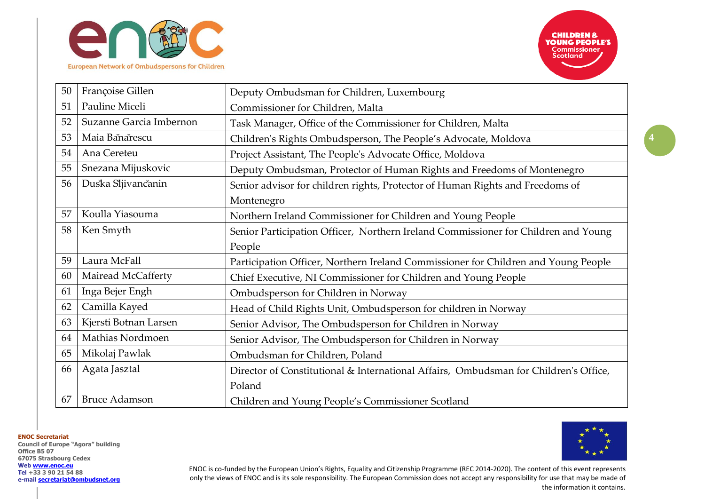

| 50 | Françoise Gillen        | Deputy Ombudsman for Children, Luxembourg                                            |
|----|-------------------------|--------------------------------------------------------------------------------------|
| 51 | Pauline Miceli          | Commissioner for Children, Malta                                                     |
| 52 | Suzanne Garcia Imbernon | Task Manager, Office of the Commissioner for Children, Malta                         |
| 53 | Maia Banarescu          | Children's Rights Ombudsperson, The People's Advocate, Moldova                       |
| 54 | Ana Cereteu             | Project Assistant, The People's Advocate Office, Moldova                             |
| 55 | Snezana Mijuskovic      | Deputy Ombudsman, Protector of Human Rights and Freedoms of Montenegro               |
| 56 | Duska Sljivančanin      | Senior advisor for children rights, Protector of Human Rights and Freedoms of        |
|    |                         | Montenegro                                                                           |
| 57 | Koulla Yiasouma         | Northern Ireland Commissioner for Children and Young People                          |
| 58 | Ken Smyth               | Senior Participation Officer, Northern Ireland Commissioner for Children and Young   |
|    |                         | People                                                                               |
| 59 | Laura McFall            | Participation Officer, Northern Ireland Commissioner for Children and Young People   |
| 60 | Mairead McCafferty      | Chief Executive, NI Commissioner for Children and Young People                       |
| 61 | Inga Bejer Engh         | Ombudsperson for Children in Norway                                                  |
| 62 | Camilla Kayed           | Head of Child Rights Unit, Ombudsperson for children in Norway                       |
| 63 | Kjersti Botnan Larsen   | Senior Advisor, The Ombudsperson for Children in Norway                              |
| 64 | Mathias Nordmoen        | Senior Advisor, The Ombudsperson for Children in Norway                              |
| 65 | Mikolaj Pawlak          | Ombudsman for Children, Poland                                                       |
| 66 | Agata Jasztal           | Director of Constitutional & International Affairs, Ombudsman for Children's Office, |
|    |                         | Poland                                                                               |
| 67 | <b>Bruce Adamson</b>    | Children and Young People's Commissioner Scotland                                    |

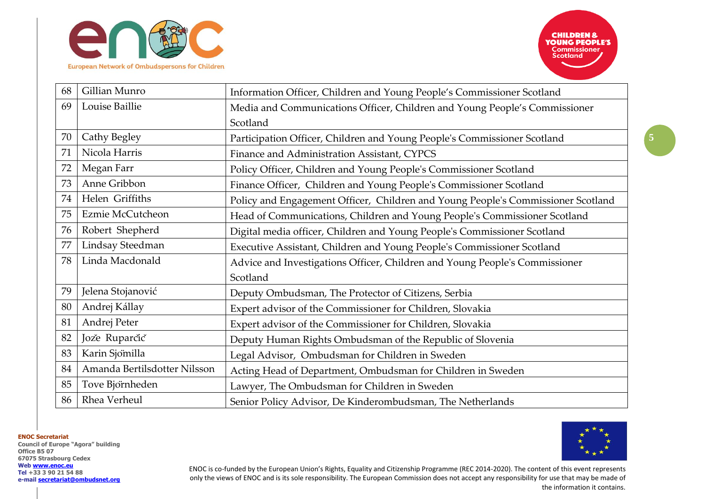



| 68 | Gillian Munro                | Information Officer, Children and Young People's Commissioner Scotland           |
|----|------------------------------|----------------------------------------------------------------------------------|
| 69 | Louise Baillie               | Media and Communications Officer, Children and Young People's Commissioner       |
|    |                              | Scotland                                                                         |
| 70 | Cathy Begley                 | Participation Officer, Children and Young People's Commissioner Scotland         |
| 71 | Nicola Harris                | Finance and Administration Assistant, CYPCS                                      |
| 72 | Megan Farr                   | Policy Officer, Children and Young People's Commissioner Scotland                |
| 73 | Anne Gribbon                 | Finance Officer, Children and Young People's Commissioner Scotland               |
| 74 | Helen Griffiths              | Policy and Engagement Officer, Children and Young People's Commissioner Scotland |
| 75 | Ezmie McCutcheon             | Head of Communications, Children and Young People's Commissioner Scotland        |
| 76 | Robert Shepherd              | Digital media officer, Children and Young People's Commissioner Scotland         |
| 77 | Lindsay Steedman             | Executive Assistant, Children and Young People's Commissioner Scotland           |
| 78 | Linda Macdonald              | Advice and Investigations Officer, Children and Young People's Commissioner      |
|    |                              | Scotland                                                                         |
| 79 | Jelena Stojanović            | Deputy Ombudsman, The Protector of Citizens, Serbia                              |
| 80 | Andrej Kállay                | Expert advisor of the Commissioner for Children, Slovakia                        |
| 81 | Andrej Peter                 | Expert advisor of the Commissioner for Children, Slovakia                        |
| 82 | Jože Ruparčič                | Deputy Human Rights Ombudsman of the Republic of Slovenia                        |
| 83 | Karin Sjömilla               | Legal Advisor, Ombudsman for Children in Sweden                                  |
| 84 | Amanda Bertilsdotter Nilsson | Acting Head of Department, Ombudsman for Children in Sweden                      |
| 85 | Tove Björnheden              | Lawyer, The Ombudsman for Children in Sweden                                     |
| 86 | Rhea Verheul                 | Senior Policy Advisor, De Kinderombudsman, The Netherlands                       |

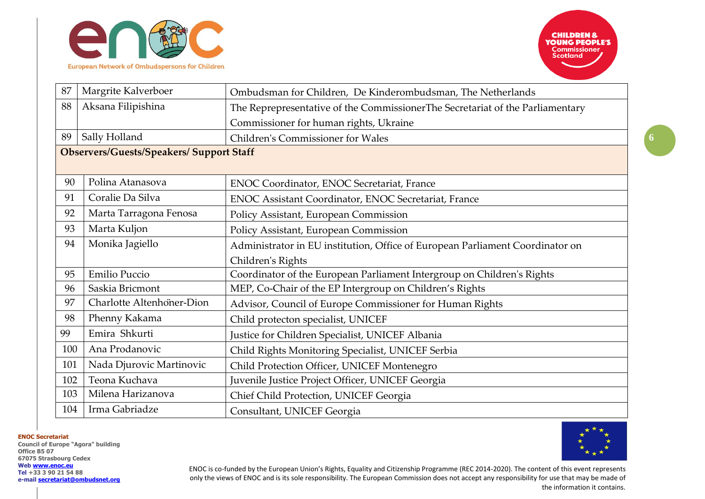

| 87  | Margrite Kalverboer                             | Ombudsman for Children, De Kinderombudsman, The Netherlands                   |
|-----|-------------------------------------------------|-------------------------------------------------------------------------------|
| 88  | Aksana Filipishina                              | The Reprepresentative of the CommissionerThe Secretariat of the Parliamentary |
|     |                                                 | Commissioner for human rights, Ukraine                                        |
| 89  | Sally Holland                                   | <b>Children's Commissioner for Wales</b>                                      |
|     | <b>Observers/Guests/Speakers/ Support Staff</b> |                                                                               |
|     |                                                 |                                                                               |
| 90  | Polina Atanasova                                | <b>ENOC Coordinator, ENOC Secretariat, France</b>                             |
| 91  | Coralie Da Silva                                | ENOC Assistant Coordinator, ENOC Secretariat, France                          |
| 92  | Marta Tarragona Fenosa                          | Policy Assistant, European Commission                                         |
| 93  | Marta Kuljon                                    | Policy Assistant, European Commission                                         |
| 94  | Monika Jagiello                                 | Administrator in EU institution, Office of European Parliament Coordinator on |
|     |                                                 | Children's Rights                                                             |
| 95  | Emilio Puccio                                   | Coordinator of the European Parliament Intergroup on Children's Rights        |
| 96  | Saskia Bricmont                                 | MEP, Co-Chair of the EP Intergroup on Children's Rights                       |
| 97  | Charlotte Altenhoner-Dion                       | Advisor, Council of Europe Commissioner for Human Rights                      |
| 98  | Phenny Kakama                                   | Child protecton specialist, UNICEF                                            |
| 99  | Emira Shkurti                                   | Justice for Children Specialist, UNICEF Albania                               |
| 100 | Ana Prodanovic                                  | Child Rights Monitoring Specialist, UNICEF Serbia                             |
| 101 | Nada Djurovic Martinovic                        | Child Protection Officer, UNICEF Montenegro                                   |
| 102 | Teona Kuchava                                   | Juvenile Justice Project Officer, UNICEF Georgia                              |
| 103 | Milena Harizanova                               | Chief Child Protection, UNICEF Georgia                                        |
| 104 | Irma Gabriadze                                  | Consultant, UNICEF Georgia                                                    |

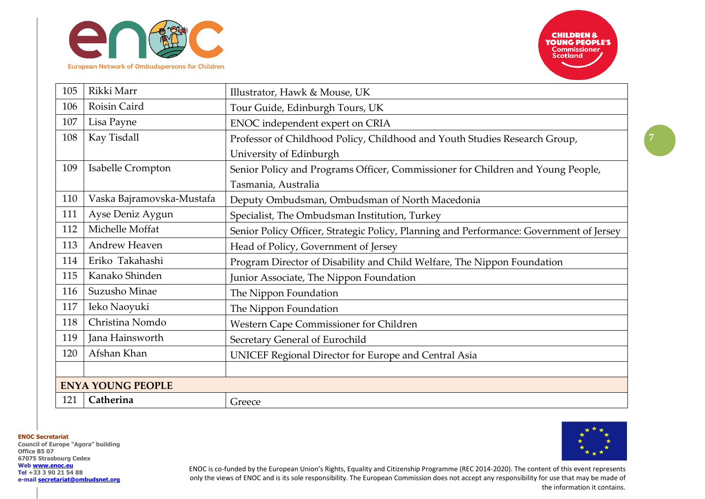



**7**

| 105 | Rikki Marr                | Illustrator, Hawk & Mouse, UK                                                           |
|-----|---------------------------|-----------------------------------------------------------------------------------------|
| 106 | Roisin Caird              | Tour Guide, Edinburgh Tours, UK                                                         |
| 107 | Lisa Payne                | ENOC independent expert on CRIA                                                         |
| 108 | Kay Tisdall               | Professor of Childhood Policy, Childhood and Youth Studies Research Group,              |
|     |                           | University of Edinburgh                                                                 |
| 109 | Isabelle Crompton         | Senior Policy and Programs Officer, Commissioner for Children and Young People,         |
|     |                           | Tasmania, Australia                                                                     |
| 110 | Vaska Bajramovska-Mustafa | Deputy Ombudsman, Ombudsman of North Macedonia                                          |
| 111 | Ayse Deniz Aygun          | Specialist, The Ombudsman Institution, Turkey                                           |
| 112 | Michelle Moffat           | Senior Policy Officer, Strategic Policy, Planning and Performance: Government of Jersey |
| 113 | Andrew Heaven             | Head of Policy, Government of Jersey                                                    |
| 114 | Eriko Takahashi           | Program Director of Disability and Child Welfare, The Nippon Foundation                 |
| 115 | Kanako Shinden            | Junior Associate, The Nippon Foundation                                                 |
| 116 | Suzusho Minae             | The Nippon Foundation                                                                   |
| 117 | Ieko Naoyuki              | The Nippon Foundation                                                                   |
| 118 | Christina Nomdo           | Western Cape Commissioner for Children                                                  |
| 119 | Jana Hainsworth           | Secretary General of Eurochild                                                          |
| 120 | Afshan Khan               | <b>UNICEF Regional Director for Europe and Central Asia</b>                             |
|     |                           |                                                                                         |
|     | <b>ENYA YOUNG PEOPLE</b>  |                                                                                         |
| 121 | Catherina                 | Greece                                                                                  |

**ENOC Secretariat**

**Council of Europe "Agora" building Office B5 07 67075 Strasbourg Cedex Web [www.enoc.eu](http://www.enoc.eu/) Tel +33 3 90 21 54 88 e-mail [secretariat@ombudsnet.org](mailto:secretariat@ombudsnet.org)**



ENOC is co-funded by the European Union's Rights, Equality and Citizenship Programme (REC 2014-2020). The content of this event represents only the views of ENOC and is its sole responsibility. The European Commission does not accept any responsibility for use that may be made of the information it contains.